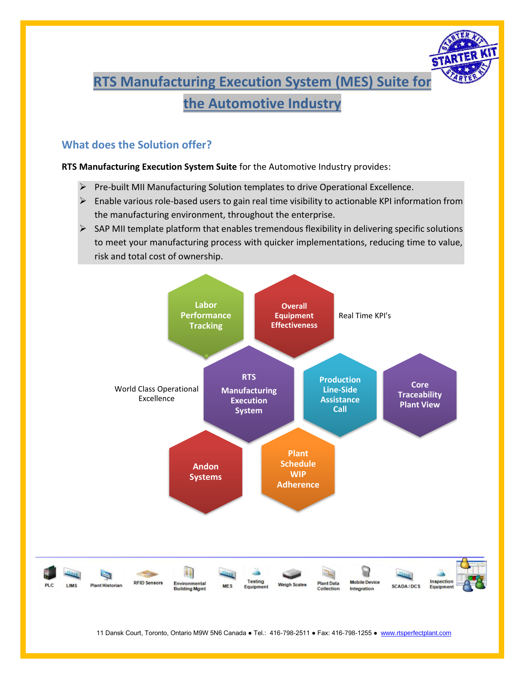# **RTS Manufacturing Execution System (MES) Suite for the Automotive Industry**

# **What does the Solution offer?**

## **RTS Manufacturing Execution System Suite** for the Automotive Industry provides:

- ➢ Pre-built MII Manufacturing Solution templates to drive Operational Excellence.
- ➢ Enable various role-based users to gain real time visibility to actionable KPI information from the manufacturing environment, throughout the enterprise.
- ➢ SAP MII template platform that enables tremendous flexibility in delivering specific solutions to meet your manufacturing process with quicker implementations, reducing time to value, risk and total cost of ownership.